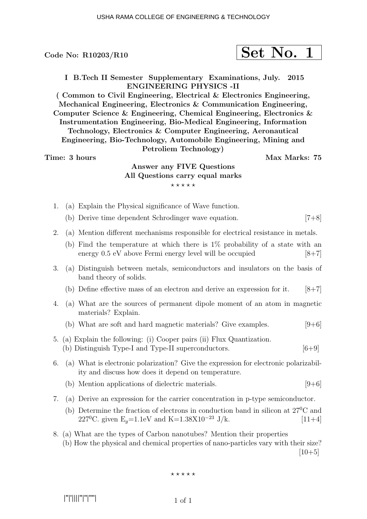$$
\fbox{Set No. 1}
$$

I B.Tech II Semester Supplementary Examinations, July. 2015 ENGINEERING PHYSICS -II

( Common to Civil Engineering, Electrical & Electronics Engineering, Mechanical Engineering, Electronics & Communication Engineering, Computer Science & Engineering, Chemical Engineering, Electronics & Instrumentation Engineering, Bio-Medical Engineering, Information Technology, Electronics & Computer Engineering, Aeronautical Engineering, Bio-Technology, Automobile Engineering, Mining and Petroliem Technology)

## Time: 3 hours Max Marks: 75

# Answer any FIVE Questions All Questions carry equal marks  $***$ \*\*

- 1. (a) Explain the Physical significance of Wave function.
	- (b) Derive time dependent Schrodinger wave equation. [7+8]
- 2. (a) Mention different mechanisms responsible for electrical resistance in metals.
	- (b) Find the temperature at which there is 1% probability of a state with an energy 0.5 eV above Fermi energy level will be occupied [8+7]
- 3. (a) Distinguish between metals, semiconductors and insulators on the basis of band theory of solids.
	- (b) Define effective mass of an electron and derive an expression for it.  $[8+7]$
- 4. (a) What are the sources of permanent dipole moment of an atom in magnetic materials? Explain.
	- (b) What are soft and hard magnetic materials? Give examples.  $[9+6]$
- 5. (a) Explain the following: (i) Cooper pairs (ii) Flux Quantization. (b) Distinguish Type-I and Type-II superconductors. [6+9]
- 6. (a) What is electronic polarization? Give the expression for electronic polarizability and discuss how does it depend on temperature.
	- (b) Mention applications of dielectric materials.  $[9+6]$
- 7. (a) Derive an expression for the carrier concentration in p-type semiconductor.
	- (b) Determine the fraction of electrons in conduction band in silicon at 27<sup>0</sup>C and 227<sup>0</sup>C. given E<sub>q</sub>=1.1eV and K=1.38X10<sup>-23</sup> J/k. [11+4]
- 8. (a) What are the types of Carbon nanotubes? Mention their properties (b) How the physical and chemical properties of nano-particles vary with their size?  $|10+5|$

 $***$ \*\*

|''|'||||''|''|''''|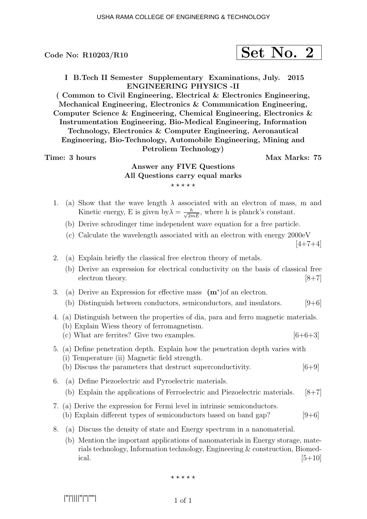$$
\fbox{Set No. 2}
$$

I B.Tech II Semester Supplementary Examinations, July. 2015 ENGINEERING PHYSICS -II

( Common to Civil Engineering, Electrical & Electronics Engineering, Mechanical Engineering, Electronics & Communication Engineering, Computer Science & Engineering, Chemical Engineering, Electronics & Instrumentation Engineering, Bio-Medical Engineering, Information Technology, Electronics & Computer Engineering, Aeronautical Engineering, Bio-Technology, Automobile Engineering, Mining and Petroliem Technology)

## Time: 3 hours and the set of the Max Marks: 75

# Answer any FIVE Questions All Questions carry equal marks  $***$ \*\*

- 1. (a) Show that the wave length  $\lambda$  associated with an electron of mass, m and Kinetic energy, E is given by  $\lambda = \frac{h}{\sqrt{2mE}}$ , where h is planck's constant.
	- (b) Derive schrodinger time independent wave equation for a free particle.
	- (c) Calculate the wavelength associated with an electron with energy 2000eV

 $[4+7+4]$ 

- 2. (a) Explain briefly the classical free electron theory of metals.
	- (b) Derive an expression for electrical conductivity on the basis of classical free electron theory. [8+7]
- 3. (a) Derive an Expression for effective mass  $(m^*)$  of an electron.
	- (b) Distinguish between conductors, semiconductors, and insulators.  $[9+6]$
- 4. (a) Distinguish between the properties of dia, para and ferro magnetic materials. (b) Explain Wiess theory of ferromagnetism.
	- (c) What are ferrites? Give two examples.  $[6+6+3]$
- 5. (a) Define penetration depth. Explain how the penetration depth varies with (i) Temperature (ii) Magnetic field strength.
	- (b) Discuss the parameters that destruct superconductivity. [6+9]
- 6. (a) Define Piezoelectric and Pyroelectric materials. (b) Explain the applications of Ferroelectric and Piezoelectric materials. [8+7]
- 7. (a) Derive the expression for Fermi level in intrinsic semiconductors. (b) Explain different types of semiconductors based on band gap?  $[9+6]$
- 8. (a) Discuss the density of state and Energy spectrum in a nanomaterial.
	- (b) Mention the important applications of nanomaterials in Energy storage, materials technology, Information technology, Engineering & construction, Biomedical.  $[5+10]$

 $***$ \*\*

|''|'||||''|''|''''|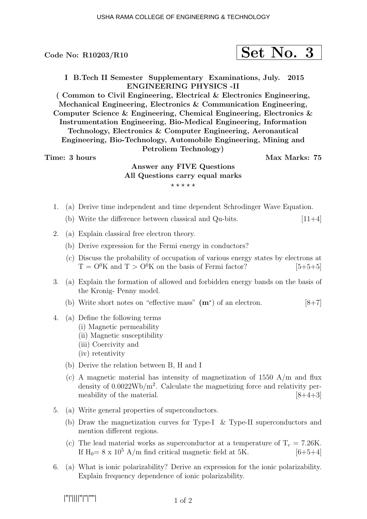$$
\fbox{Set No. 3}
$$

I B.Tech II Semester Supplementary Examinations, July. 2015 ENGINEERING PHYSICS -II

( Common to Civil Engineering, Electrical & Electronics Engineering, Mechanical Engineering, Electronics & Communication Engineering, Computer Science & Engineering, Chemical Engineering, Electronics & Instrumentation Engineering, Bio-Medical Engineering, Information Technology, Electronics & Computer Engineering, Aeronautical Engineering, Bio-Technology, Automobile Engineering, Mining and Petroliem Technology)

Time: 3 hours and the set of the Max Marks: 75

# Answer any FIVE Questions All Questions carry equal marks  $***$ \*\*

- 1. (a) Derive time independent and time dependent Schrodinger Wave Equation.
	- (b) Write the difference between classical and Qu-bits.  $[11+4]$
- 2. (a) Explain classical free electron theory.
	- (b) Derive expression for the Fermi energy in conductors?
	- (c) Discuss the probability of occupation of various energy states by electrons at  $T = O^{0}K$  and  $T > O^{0}K$  on the basis of Fermi factor? [5+5+5]
- 3. (a) Explain the formation of allowed and forbidden energy bands on the basis of the Kronig- Penny model.
	- (b) Write short notes on "effective mass"  $(m^*)$  of an electron. [8+7]
- 4. (a) Define the following terms
	- (i) Magnetic permeability
	- (ii) Magnetic susceptibility
	- (iii) Coercivity and
	- (iv) retentivity
	- (b) Derive the relation between B, H and I
	- (c) A magnetic material has intensity of magnetization of  $1550 \text{ A/m}$  and flux density of  $0.0022 \text{Wb/m}^2$ . Calculate the magnetizing force and relativity permeability of the material.  $[8+4+3]$
- 5. (a) Write general properties of superconductors.
	- (b) Draw the magnetization curves for Type-I & Type-II superconductors and mention different regions.
	- (c) The lead material works as superconductor at a temperature of  $T_c = 7.26$ K. If  $H_0 = 8 \times 10^5$  A/m find critical magnetic field at 5K. [6+5+4]
- 6. (a) What is ionic polarizability? Derive an expression for the ionic polarizability. Explain frequency dependence of ionic polarizability.

|''|'||||''|''|''''|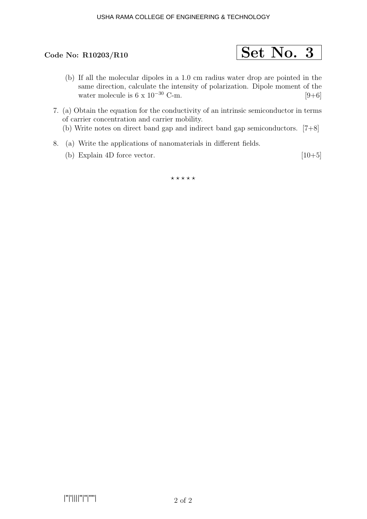### USHA RAMA COLLEGE OF ENGINEERING & TECHNOLOGY



- (b) If all the molecular dipoles in a 1.0 cm radius water drop are pointed in the same direction, calculate the intensity of polarization. Dipole moment of the water molecule is  $6 \times 10^{-30}$  C-m. [9+6]
- 7. (a) Obtain the equation for the conductivity of an intrinsic semiconductor in terms of carrier concentration and carrier mobility.
	- (b) Write notes on direct band gap and indirect band gap semiconductors. [7+8]
- 8. (a) Write the applications of nanomaterials in different fields.
	- (b) Explain 4D force vector.  $[10+5]$

 $***$ \*\*